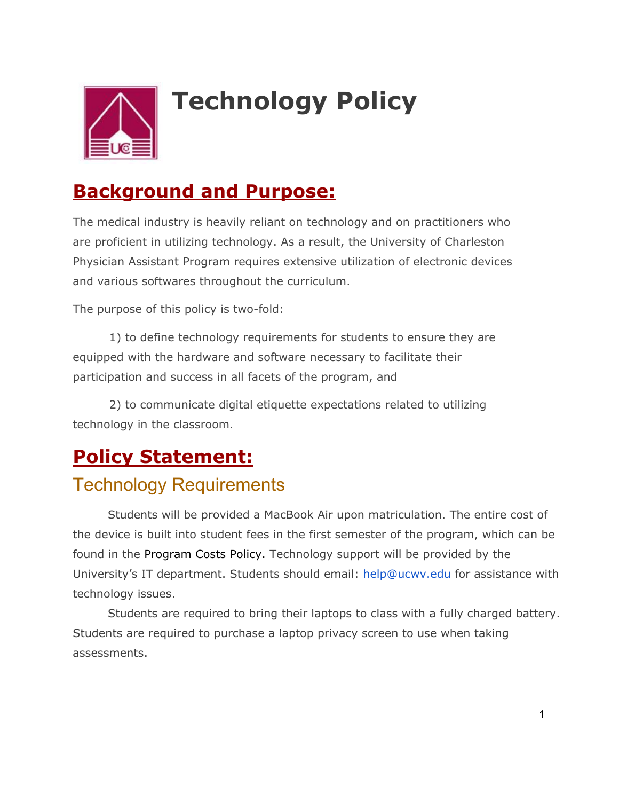

# **Technology Policy**

### **Background and Purpose:**

The medical industry is heavily reliant on technology and on practitioners who are proficient in utilizing technology. As a result, the University of Charleston Physician Assistant Program requires extensive utilization of electronic devices and various softwares throughout the curriculum.

The purpose of this policy is two-fold:

1) to define technology requirements for students to ensure they are equipped with the hardware and software necessary to facilitate their participation and success in all facets of the program, and

2) to communicate digital etiquette expectations related to utilizing technology in the classroom.

# **Policy Statement:**

#### Technology Requirements

Students will be provided a MacBook Air upon matriculation. The entire cost of the device is built into student fees in the first semester of the program, which can be found in the Program Costs Policy. Technology support will be provided by the University's IT department. Students should email: help@ucwv.edu for assistance with technology issues.

Students are required to bring their laptops to class with a fully charged battery. Students are required to purchase a laptop privacy screen to use when taking assessments.